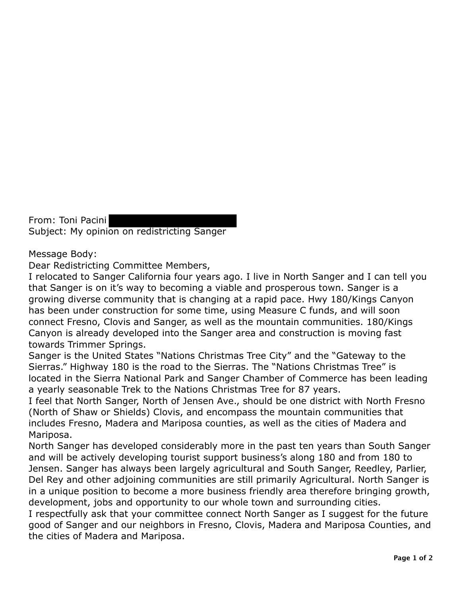From: Toni Pacini Subject: My opinion on redistricting Sanger

## Message Body:

Dear Redistricting Committee Members,

I relocated to Sanger California four years ago. I live in North Sanger and I can tell you that Sanger is on it's way to becoming a viable and prosperous town. Sanger is a growing diverse community that is changing at a rapid pace. Hwy 180/Kings Canyon has been under construction for some time, using Measure C funds, and will soon connect Fresno, Clovis and Sanger, as well as the mountain communities. 180/Kings Canyon is already developed into the Sanger area and construction is moving fast towards Trimmer Springs.

Sanger is the United States "Nations Christmas Tree City" and the "Gateway to the Sierras." Highway 180 is the road to the Sierras. The "Nations Christmas Tree" is located in the Sierra National Park and Sanger Chamber of Commerce has been leading a yearly seasonable Trek to the Nations Christmas Tree for 87 years.

I feel that North Sanger, North of Jensen Ave., should be one district with North Fresno (North of Shaw or Shields) Clovis, and encompass the mountain communities that includes Fresno, Madera and Mariposa counties, as well as the cities of Madera and Mariposa.

North Sanger has developed considerably more in the past ten years than South Sanger and will be actively developing tourist support business's along 180 and from 180 to Jensen. Sanger has always been largely agricultural and South Sanger, Reedley, Parlier, Del Rey and other adjoining communities are still primarily Agricultural. North Sanger is in a unique position to become a more business friendly area therefore bringing growth, development, jobs and opportunity to our whole town and surrounding cities.

I respectfully ask that your committee connect North Sanger as I suggest for the future good of Sanger and our neighbors in Fresno, Clovis, Madera and Mariposa Counties, and the cities of Madera and Mariposa.